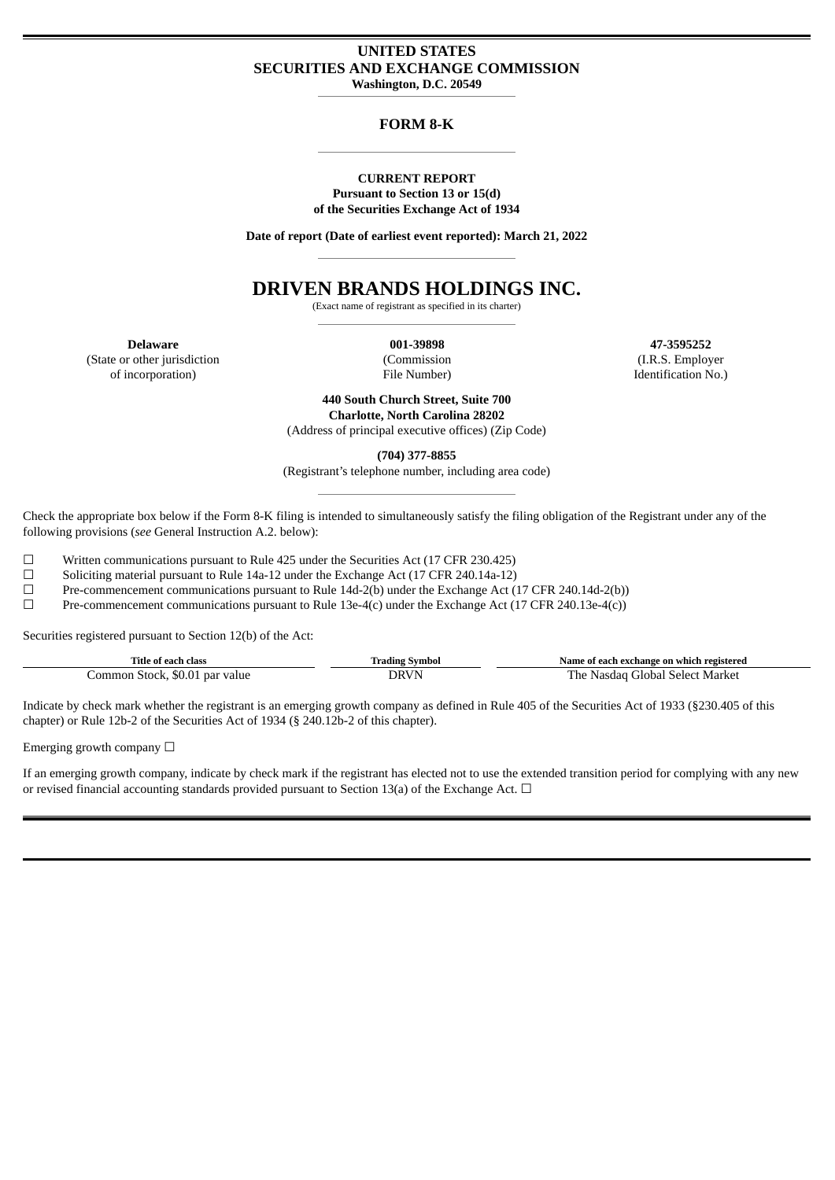# **UNITED STATES SECURITIES AND EXCHANGE COMMISSION Washington, D.C. 20549**

## **FORM 8-K**

#### **CURRENT REPORT Pursuant to Section 13 or 15(d) of the Securities Exchange Act of 1934**

**Date of report (Date of earliest event reported): March 21, 2022**

# **DRIVEN BRANDS HOLDINGS INC.**

(Exact name of registrant as specified in its charter)

**Delaware** (State or other jurisdiction of incorporation)

**001-39898** (Commission File Number)

**47-3595252** (I.R.S. Employer Identification No.)

**440 South Church Street, Suite 700 Charlotte, North Carolina 28202** (Address of principal executive offices) (Zip Code)

**(704) 377-8855**

(Registrant's telephone number, including area code)

Check the appropriate box below if the Form 8-K filing is intended to simultaneously satisfy the filing obligation of the Registrant under any of the following provisions (*see* General Instruction A.2. below):

 $\Box$  Written communications pursuant to Rule 425 under the Securities Act (17 CFR 230.425)<br>Soliciting material pursuant to Rule 14a-12 under the Exchange Act (17 CFR 240.14a-12)

Soliciting material pursuant to Rule 14a-12 under the Exchange Act (17 CFR 240.14a-12)

☐ Pre-commencement communications pursuant to Rule 14d-2(b) under the Exchange Act (17 CFR 240.14d-2(b))

☐ Pre-commencement communications pursuant to Rule 13e-4(c) under the Exchange Act (17 CFR 240.13e-4(c))

Securities registered pursuant to Section 12(b) of the Act:

| Title of<br>class                                           | Fradins                                                | registered<br>e of each exchange on which-<br>Name                |
|-------------------------------------------------------------|--------------------------------------------------------|-------------------------------------------------------------------|
| .ommon<br><sup>.</sup> value<br>nar<br>stock<br>80 O I<br>. | ORV<br>the contract of the contract of the contract of | Market<br>$\sim$ $\sim$ $\sim$ $\sim$ $\sim$<br>'he<br>Floba<br>. |

Indicate by check mark whether the registrant is an emerging growth company as defined in Rule 405 of the Securities Act of 1933 (§230.405 of this chapter) or Rule 12b-2 of the Securities Act of 1934 (§ 240.12b-2 of this chapter).

Emerging growth company  $\Box$ 

If an emerging growth company, indicate by check mark if the registrant has elected not to use the extended transition period for complying with any new or revised financial accounting standards provided pursuant to Section 13(a) of the Exchange Act.  $\Box$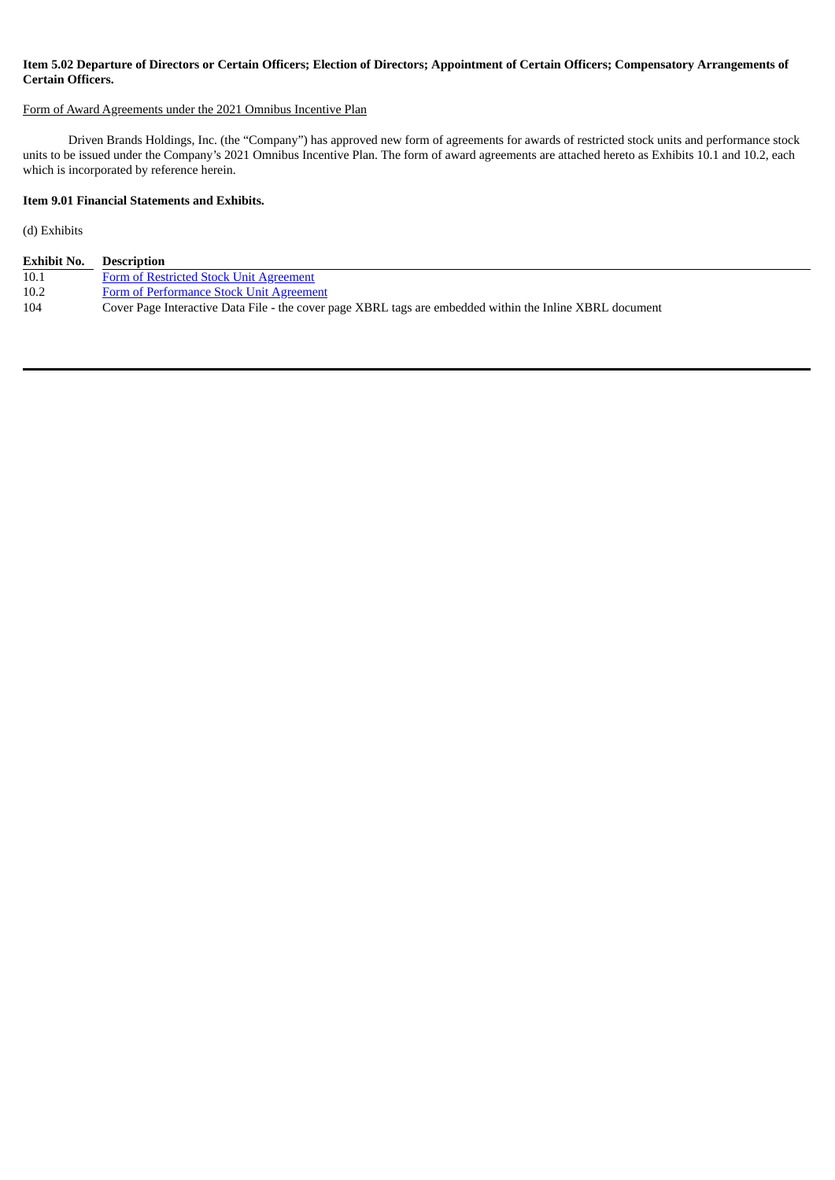# Item 5.02 Departure of Directors or Certain Officers; Election of Directors; Appointment of Certain Officers; Compensatory Arrangements of **Certain Officers.**

#### Form of Award Agreements under the 2021 Omnibus Incentive Plan

Driven Brands Holdings, Inc. (the "Company") has approved new form of agreements for awards of restricted stock units and performance stock units to be issued under the Company's 2021 Omnibus Incentive Plan. The form of award agreements are attached hereto as Exhibits 10.1 and 10.2, each which is incorporated by reference herein.

## **Item 9.01 Financial Statements and Exhibits.**

(d) Exhibits

| <b>Exhibit No.</b> | <b>Description</b>                                                                                       |
|--------------------|----------------------------------------------------------------------------------------------------------|
| 10.1               | Form of Restricted Stock Unit Agreement                                                                  |
| 10.2               | Form of Performance Stock Unit Agreement                                                                 |
| 104                | Cover Page Interactive Data File - the cover page XBRL tags are embedded within the Inline XBRL document |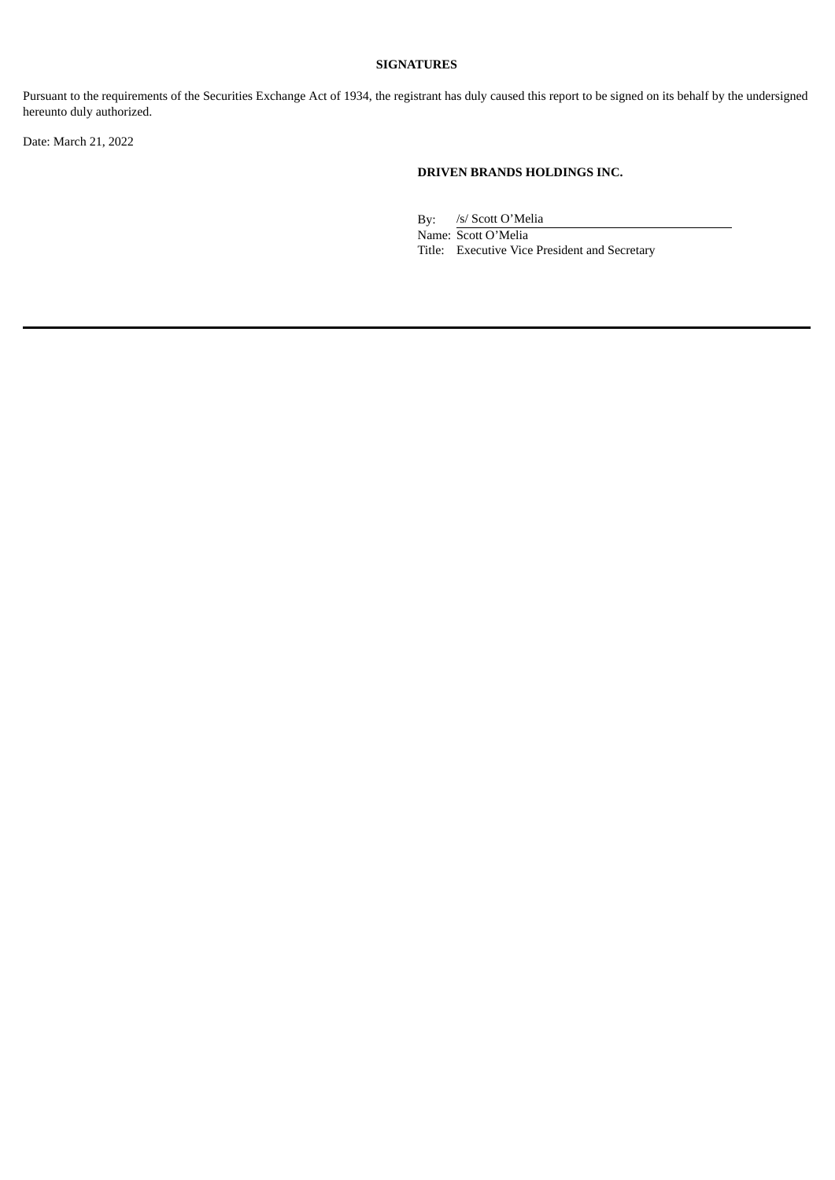# **SIGNATURES**

Pursuant to the requirements of the Securities Exchange Act of 1934, the registrant has duly caused this report to be signed on its behalf by the undersigned hereunto duly authorized.

Date: March 21, 2022

## **DRIVEN BRANDS HOLDINGS INC.**

By: /s/ Scott O'Melia

Name: Scott O'Melia Title: Executive Vice President and Secretary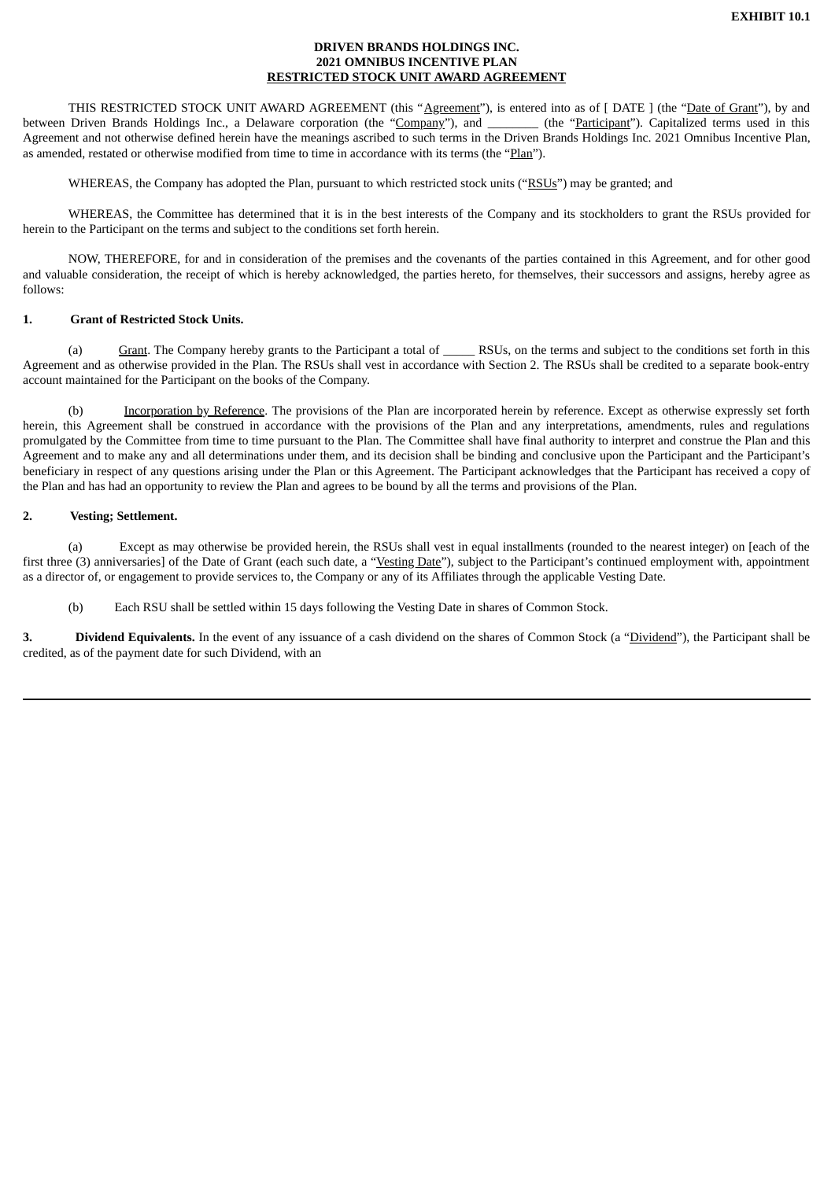### **DRIVEN BRANDS HOLDINGS INC. 2021 OMNIBUS INCENTIVE PLAN RESTRICTED STOCK UNIT AWARD AGREEMENT**

<span id="page-3-0"></span>THIS RESTRICTED STOCK UNIT AWARD AGREEMENT (this "Agreement"), is entered into as of [DATE ] (the "Date of Grant"), by and between Driven Brands Holdings Inc., a Delaware corporation (the "Company"), and \_\_\_\_\_\_\_\_ (the "Participant"). Capitalized terms used in this Agreement and not otherwise defined herein have the meanings ascribed to such terms in the Driven Brands Holdings Inc. 2021 Omnibus Incentive Plan, as amended, restated or otherwise modified from time to time in accordance with its terms (the "Plan").

WHEREAS, the Company has adopted the Plan, pursuant to which restricted stock units ("RSUs") may be granted; and

WHEREAS, the Committee has determined that it is in the best interests of the Company and its stockholders to grant the RSUs provided for herein to the Participant on the terms and subject to the conditions set forth herein.

NOW, THEREFORE, for and in consideration of the premises and the covenants of the parties contained in this Agreement, and for other good and valuable consideration, the receipt of which is hereby acknowledged, the parties hereto, for themselves, their successors and assigns, hereby agree as follows:

## **1. Grant of Restricted Stock Units.**

(a) Grant. The Company hereby grants to the Participant a total of RSUs, on the terms and subject to the conditions set forth in this Agreement and as otherwise provided in the Plan. The RSUs shall vest in accordance with Section 2. The RSUs shall be credited to a separate book-entry account maintained for the Participant on the books of the Company.

(b) Incorporation by Reference. The provisions of the Plan are incorporated herein by reference. Except as otherwise expressly set forth herein, this Agreement shall be construed in accordance with the provisions of the Plan and any interpretations, amendments, rules and regulations promulgated by the Committee from time to time pursuant to the Plan. The Committee shall have final authority to interpret and construe the Plan and this Agreement and to make any and all determinations under them, and its decision shall be binding and conclusive upon the Participant and the Participant's beneficiary in respect of any questions arising under the Plan or this Agreement. The Participant acknowledges that the Participant has received a copy of the Plan and has had an opportunity to review the Plan and agrees to be bound by all the terms and provisions of the Plan.

## **2. Vesting; Settlement.**

(a) Except as may otherwise be provided herein, the RSUs shall vest in equal installments (rounded to the nearest integer) on [each of the first three (3) anniversaries] of the Date of Grant (each such date, a "Vesting Date"), subject to the Participant's continued employment with, appointment as a director of, or engagement to provide services to, the Company or any of its Affiliates through the applicable Vesting Date.

(b) Each RSU shall be settled within 15 days following the Vesting Date in shares of Common Stock.

**3. Dividend Equivalents.** In the event of any issuance of a cash dividend on the shares of Common Stock (a "Dividend"), the Participant shall be credited, as of the payment date for such Dividend, with an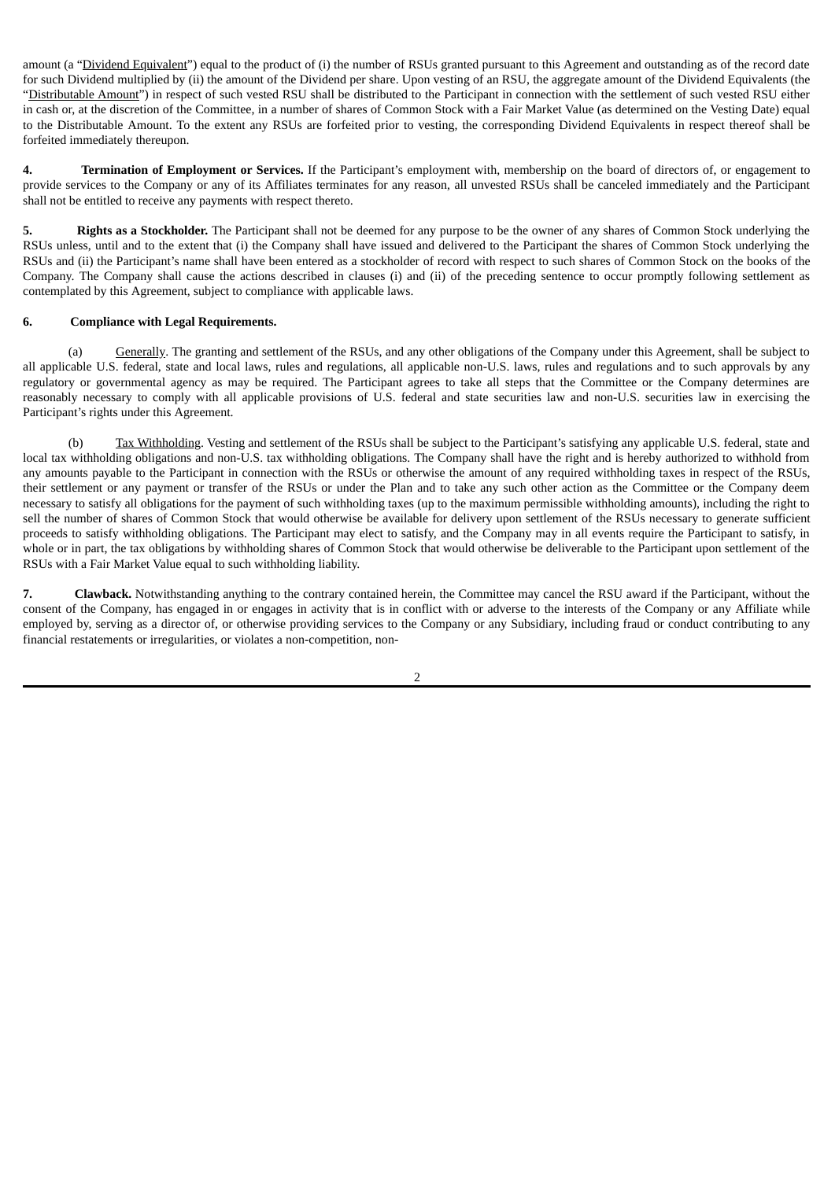amount (a "Dividend Equivalent") equal to the product of (i) the number of RSUs granted pursuant to this Agreement and outstanding as of the record date for such Dividend multiplied by (ii) the amount of the Dividend per share. Upon vesting of an RSU, the aggregate amount of the Dividend Equivalents (the "Distributable Amount") in respect of such vested RSU shall be distributed to the Participant in connection with the settlement of such vested RSU either in cash or, at the discretion of the Committee, in a number of shares of Common Stock with a Fair Market Value (as determined on the Vesting Date) equal to the Distributable Amount. To the extent any RSUs are forfeited prior to vesting, the corresponding Dividend Equivalents in respect thereof shall be forfeited immediately thereupon.

**4. Termination of Employment or Services.** If the Participant's employment with, membership on the board of directors of, or engagement to provide services to the Company or any of its Affiliates terminates for any reason, all unvested RSUs shall be canceled immediately and the Participant shall not be entitled to receive any payments with respect thereto.

**5. Rights as a Stockholder.** The Participant shall not be deemed for any purpose to be the owner of any shares of Common Stock underlying the RSUs unless, until and to the extent that (i) the Company shall have issued and delivered to the Participant the shares of Common Stock underlying the RSUs and (ii) the Participant's name shall have been entered as a stockholder of record with respect to such shares of Common Stock on the books of the Company. The Company shall cause the actions described in clauses (i) and (ii) of the preceding sentence to occur promptly following settlement as contemplated by this Agreement, subject to compliance with applicable laws.

## **6. Compliance with Legal Requirements.**

(a) Generally. The granting and settlement of the RSUs, and any other obligations of the Company under this Agreement, shall be subject to all applicable U.S. federal, state and local laws, rules and regulations, all applicable non-U.S. laws, rules and regulations and to such approvals by any regulatory or governmental agency as may be required. The Participant agrees to take all steps that the Committee or the Company determines are reasonably necessary to comply with all applicable provisions of U.S. federal and state securities law and non-U.S. securities law in exercising the Participant's rights under this Agreement.

(b) Tax Withholding. Vesting and settlement of the RSUs shall be subject to the Participant's satisfying any applicable U.S. federal, state and local tax withholding obligations and non-U.S. tax withholding obligations. The Company shall have the right and is hereby authorized to withhold from any amounts payable to the Participant in connection with the RSUs or otherwise the amount of any required withholding taxes in respect of the RSUs, their settlement or any payment or transfer of the RSUs or under the Plan and to take any such other action as the Committee or the Company deem necessary to satisfy all obligations for the payment of such withholding taxes (up to the maximum permissible withholding amounts), including the right to sell the number of shares of Common Stock that would otherwise be available for delivery upon settlement of the RSUs necessary to generate sufficient proceeds to satisfy withholding obligations. The Participant may elect to satisfy, and the Company may in all events require the Participant to satisfy, in whole or in part, the tax obligations by withholding shares of Common Stock that would otherwise be deliverable to the Participant upon settlement of the RSUs with a Fair Market Value equal to such withholding liability.

**7. Clawback.** Notwithstanding anything to the contrary contained herein, the Committee may cancel the RSU award if the Participant, without the consent of the Company, has engaged in or engages in activity that is in conflict with or adverse to the interests of the Company or any Affiliate while employed by, serving as a director of, or otherwise providing services to the Company or any Subsidiary, including fraud or conduct contributing to any financial restatements or irregularities, or violates a non-competition, non-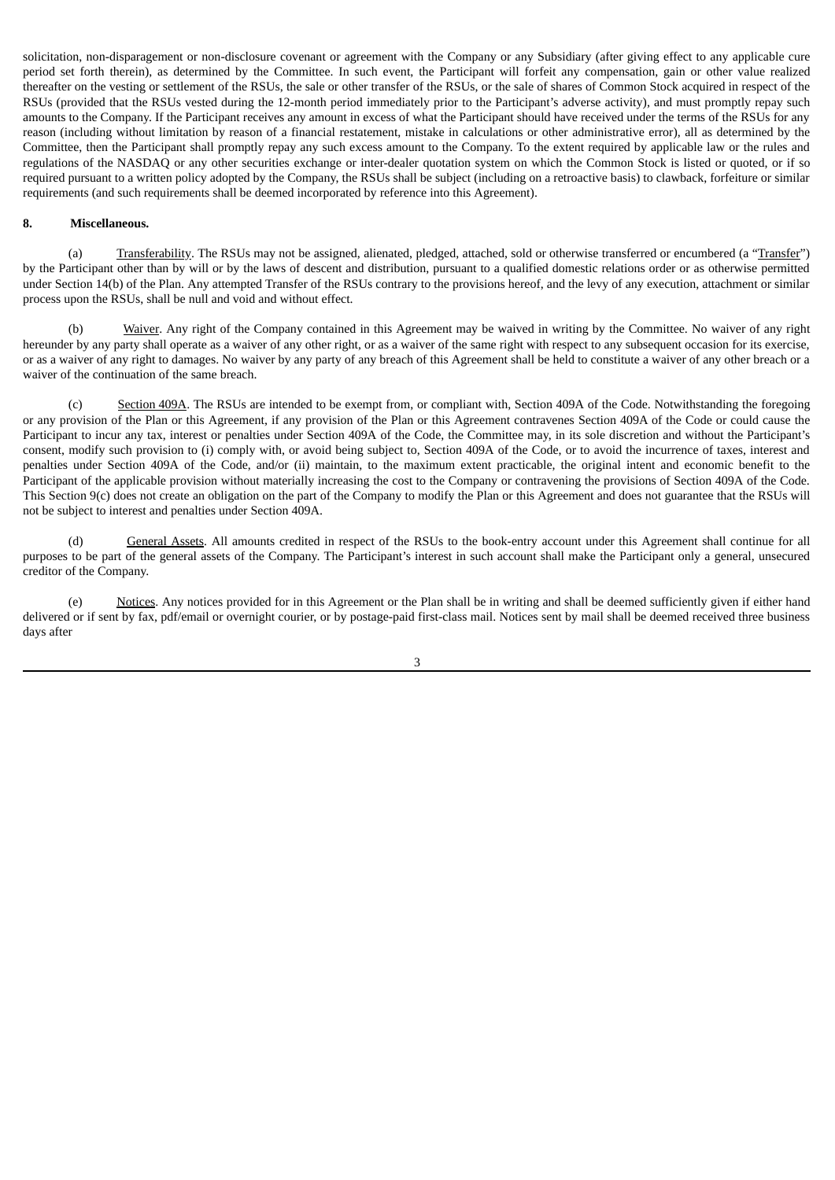solicitation, non-disparagement or non-disclosure covenant or agreement with the Company or any Subsidiary (after giving effect to any applicable cure period set forth therein), as determined by the Committee. In such event, the Participant will forfeit any compensation, gain or other value realized thereafter on the vesting or settlement of the RSUs, the sale or other transfer of the RSUs, or the sale of shares of Common Stock acquired in respect of the RSUs (provided that the RSUs vested during the 12-month period immediately prior to the Participant's adverse activity), and must promptly repay such amounts to the Company. If the Participant receives any amount in excess of what the Participant should have received under the terms of the RSUs for any reason (including without limitation by reason of a financial restatement, mistake in calculations or other administrative error), all as determined by the Committee, then the Participant shall promptly repay any such excess amount to the Company. To the extent required by applicable law or the rules and regulations of the NASDAQ or any other securities exchange or inter-dealer quotation system on which the Common Stock is listed or quoted, or if so required pursuant to a written policy adopted by the Company, the RSUs shall be subject (including on a retroactive basis) to clawback, forfeiture or similar requirements (and such requirements shall be deemed incorporated by reference into this Agreement).

#### **8. Miscellaneous.**

(a) Transferability. The RSUs may not be assigned, alienated, pledged, attached, sold or otherwise transferred or encumbered (a "Transfer") by the Participant other than by will or by the laws of descent and distribution, pursuant to a qualified domestic relations order or as otherwise permitted under Section 14(b) of the Plan. Any attempted Transfer of the RSUs contrary to the provisions hereof, and the levy of any execution, attachment or similar process upon the RSUs, shall be null and void and without effect.

(b) Waiver. Any right of the Company contained in this Agreement may be waived in writing by the Committee. No waiver of any right hereunder by any party shall operate as a waiver of any other right, or as a waiver of the same right with respect to any subsequent occasion for its exercise, or as a waiver of any right to damages. No waiver by any party of any breach of this Agreement shall be held to constitute a waiver of any other breach or a waiver of the continuation of the same breach.

(c) Section 409A. The RSUs are intended to be exempt from, or compliant with, Section 409A of the Code. Notwithstanding the foregoing or any provision of the Plan or this Agreement, if any provision of the Plan or this Agreement contravenes Section 409A of the Code or could cause the Participant to incur any tax, interest or penalties under Section 409A of the Code, the Committee may, in its sole discretion and without the Participant's consent, modify such provision to (i) comply with, or avoid being subject to, Section 409A of the Code, or to avoid the incurrence of taxes, interest and penalties under Section 409A of the Code, and/or (ii) maintain, to the maximum extent practicable, the original intent and economic benefit to the Participant of the applicable provision without materially increasing the cost to the Company or contravening the provisions of Section 409A of the Code. This Section 9(c) does not create an obligation on the part of the Company to modify the Plan or this Agreement and does not guarantee that the RSUs will not be subject to interest and penalties under Section 409A.

(d) General Assets. All amounts credited in respect of the RSUs to the book-entry account under this Agreement shall continue for all purposes to be part of the general assets of the Company. The Participant's interest in such account shall make the Participant only a general, unsecured creditor of the Company.

(e) Notices. Any notices provided for in this Agreement or the Plan shall be in writing and shall be deemed sufficiently given if either hand delivered or if sent by fax, pdf/email or overnight courier, or by postage-paid first-class mail. Notices sent by mail shall be deemed received three business days after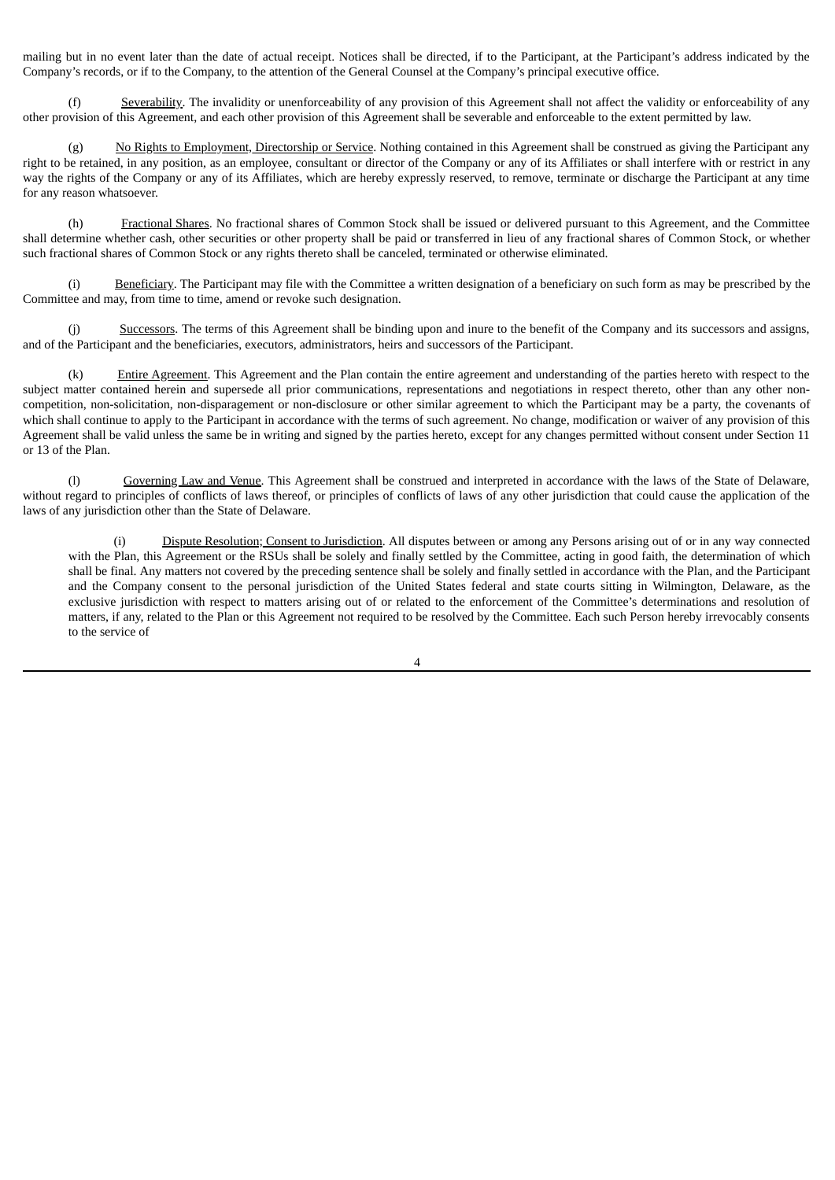mailing but in no event later than the date of actual receipt. Notices shall be directed, if to the Participant, at the Participant's address indicated by the Company's records, or if to the Company, to the attention of the General Counsel at the Company's principal executive office.

(f) Severability. The invalidity or unenforceability of any provision of this Agreement shall not affect the validity or enforceability of any other provision of this Agreement, and each other provision of this Agreement shall be severable and enforceable to the extent permitted by law.

No Rights to Employment, Directorship or Service. Nothing contained in this Agreement shall be construed as giving the Participant any right to be retained, in any position, as an employee, consultant or director of the Company or any of its Affiliates or shall interfere with or restrict in any way the rights of the Company or any of its Affiliates, which are hereby expressly reserved, to remove, terminate or discharge the Participant at any time for any reason whatsoever.

(h) Fractional Shares. No fractional shares of Common Stock shall be issued or delivered pursuant to this Agreement, and the Committee shall determine whether cash, other securities or other property shall be paid or transferred in lieu of any fractional shares of Common Stock, or whether such fractional shares of Common Stock or any rights thereto shall be canceled, terminated or otherwise eliminated.

(i) Beneficiary. The Participant may file with the Committee a written designation of a beneficiary on such form as may be prescribed by the Committee and may, from time to time, amend or revoke such designation.

(j) Successors. The terms of this Agreement shall be binding upon and inure to the benefit of the Company and its successors and assigns, and of the Participant and the beneficiaries, executors, administrators, heirs and successors of the Participant.

(k) Entire Agreement. This Agreement and the Plan contain the entire agreement and understanding of the parties hereto with respect to the subject matter contained herein and supersede all prior communications, representations and negotiations in respect thereto, other than any other noncompetition, non-solicitation, non-disparagement or non-disclosure or other similar agreement to which the Participant may be a party, the covenants of which shall continue to apply to the Participant in accordance with the terms of such agreement. No change, modification or waiver of any provision of this Agreement shall be valid unless the same be in writing and signed by the parties hereto, except for any changes permitted without consent under Section 11 or 13 of the Plan.

(l) Governing Law and Venue. This Agreement shall be construed and interpreted in accordance with the laws of the State of Delaware, without regard to principles of conflicts of laws thereof, or principles of conflicts of laws of any other jurisdiction that could cause the application of the laws of any jurisdiction other than the State of Delaware.

(i) Dispute Resolution; Consent to Jurisdiction. All disputes between or among any Persons arising out of or in any way connected with the Plan, this Agreement or the RSUs shall be solely and finally settled by the Committee, acting in good faith, the determination of which shall be final. Any matters not covered by the preceding sentence shall be solely and finally settled in accordance with the Plan, and the Participant and the Company consent to the personal jurisdiction of the United States federal and state courts sitting in Wilmington, Delaware, as the exclusive jurisdiction with respect to matters arising out of or related to the enforcement of the Committee's determinations and resolution of matters, if any, related to the Plan or this Agreement not required to be resolved by the Committee. Each such Person hereby irrevocably consents to the service of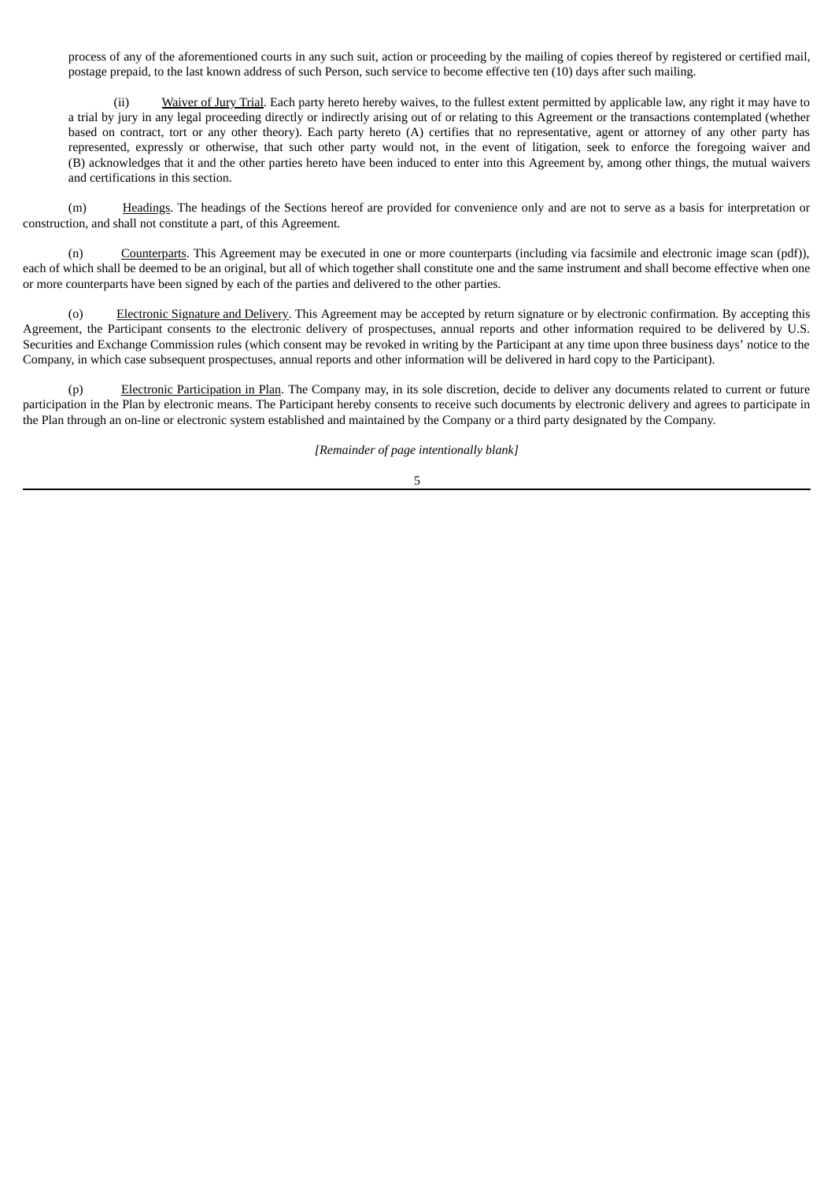process of any of the aforementioned courts in any such suit, action or proceeding by the mailing of copies thereof by registered or certified mail, postage prepaid, to the last known address of such Person, such service to become effective ten (10) days after such mailing.

(ii) Waiver of Jury Trial. Each party hereto hereby waives, to the fullest extent permitted by applicable law, any right it may have to a trial by jury in any legal proceeding directly or indirectly arising out of or relating to this Agreement or the transactions contemplated (whether based on contract, tort or any other theory). Each party hereto (A) certifies that no representative, agent or attorney of any other party has represented, expressly or otherwise, that such other party would not, in the event of litigation, seek to enforce the foregoing waiver and (B) acknowledges that it and the other parties hereto have been induced to enter into this Agreement by, among other things, the mutual waivers and certifications in this section.

(m) Headings. The headings of the Sections hereof are provided for convenience only and are not to serve as a basis for interpretation or construction, and shall not constitute a part, of this Agreement.

(n) Counterparts. This Agreement may be executed in one or more counterparts (including via facsimile and electronic image scan (pdf)), each of which shall be deemed to be an original, but all of which together shall constitute one and the same instrument and shall become effective when one or more counterparts have been signed by each of the parties and delivered to the other parties.

(o) Electronic Signature and Delivery. This Agreement may be accepted by return signature or by electronic confirmation. By accepting this Agreement, the Participant consents to the electronic delivery of prospectuses, annual reports and other information required to be delivered by U.S. Securities and Exchange Commission rules (which consent may be revoked in writing by the Participant at any time upon three business days' notice to the Company, in which case subsequent prospectuses, annual reports and other information will be delivered in hard copy to the Participant).

(p) Electronic Participation in Plan. The Company may, in its sole discretion, decide to deliver any documents related to current or future participation in the Plan by electronic means. The Participant hereby consents to receive such documents by electronic delivery and agrees to participate in the Plan through an on-line or electronic system established and maintained by the Company or a third party designated by the Company.

*[Remainder of page intentionally blank]*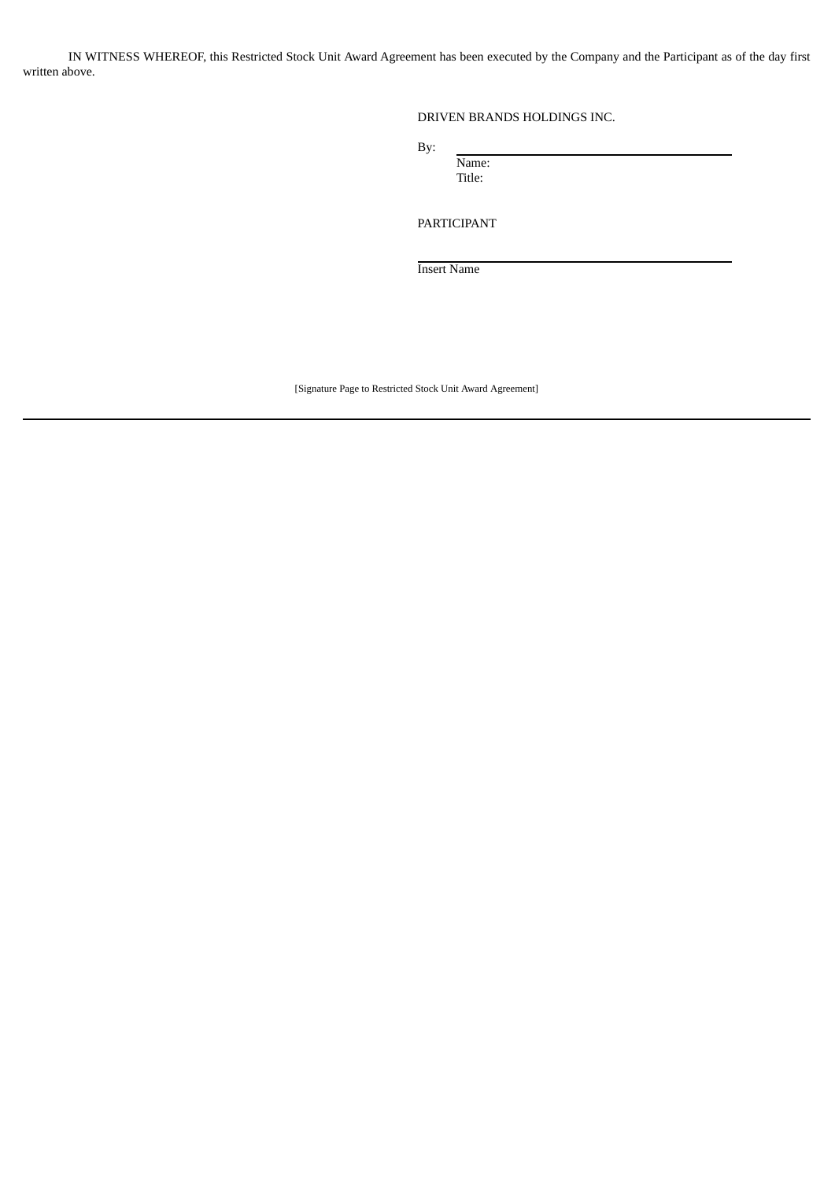IN WITNESS WHEREOF, this Restricted Stock Unit Award Agreement has been executed by the Company and the Participant as of the day first written above.

# DRIVEN BRANDS HOLDINGS INC.

By:

Name: Title:

PARTICIPANT

Insert Name

[Signature Page to Restricted Stock Unit Award Agreement]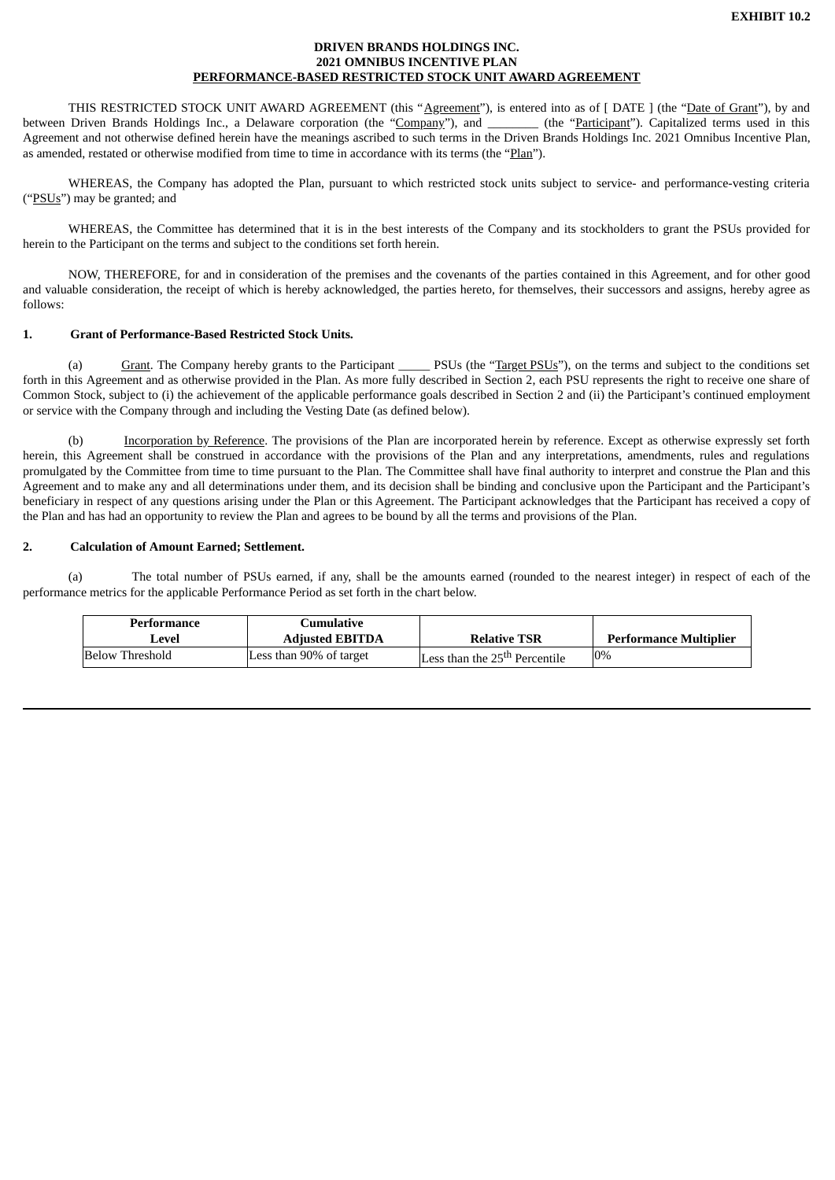### **DRIVEN BRANDS HOLDINGS INC. 2021 OMNIBUS INCENTIVE PLAN PERFORMANCE-BASED RESTRICTED STOCK UNIT AWARD AGREEMENT**

<span id="page-9-0"></span>THIS RESTRICTED STOCK UNIT AWARD AGREEMENT (this "Agreement"), is entered into as of [DATE ] (the "Date of Grant"), by and between Driven Brands Holdings Inc., a Delaware corporation (the "Company"), and \_\_\_\_\_\_\_\_ (the "Participant"). Capitalized terms used in this Agreement and not otherwise defined herein have the meanings ascribed to such terms in the Driven Brands Holdings Inc. 2021 Omnibus Incentive Plan, as amended, restated or otherwise modified from time to time in accordance with its terms (the "Plan").

WHEREAS, the Company has adopted the Plan, pursuant to which restricted stock units subject to service- and performance-vesting criteria ("PSUs") may be granted; and

WHEREAS, the Committee has determined that it is in the best interests of the Company and its stockholders to grant the PSUs provided for herein to the Participant on the terms and subject to the conditions set forth herein.

NOW, THEREFORE, for and in consideration of the premises and the covenants of the parties contained in this Agreement, and for other good and valuable consideration, the receipt of which is hereby acknowledged, the parties hereto, for themselves, their successors and assigns, hereby agree as follows:

## **1. Grant of Performance-Based Restricted Stock Units.**

(a) Grant. The Company hereby grants to the Participant \_\_\_\_\_ PSUs (the "Target PSUs"), on the terms and subject to the conditions set forth in this Agreement and as otherwise provided in the Plan. As more fully described in Section 2, each PSU represents the right to receive one share of Common Stock, subject to (i) the achievement of the applicable performance goals described in Section 2 and (ii) the Participant's continued employment or service with the Company through and including the Vesting Date (as defined below).

(b) Incorporation by Reference. The provisions of the Plan are incorporated herein by reference. Except as otherwise expressly set forth herein, this Agreement shall be construed in accordance with the provisions of the Plan and any interpretations, amendments, rules and regulations promulgated by the Committee from time to time pursuant to the Plan. The Committee shall have final authority to interpret and construe the Plan and this Agreement and to make any and all determinations under them, and its decision shall be binding and conclusive upon the Participant and the Participant's beneficiary in respect of any questions arising under the Plan or this Agreement. The Participant acknowledges that the Participant has received a copy of the Plan and has had an opportunity to review the Plan and agrees to be bound by all the terms and provisions of the Plan.

# **2. Calculation of Amount Earned; Settlement.**

(a) The total number of PSUs earned, if any, shall be the amounts earned (rounded to the nearest integer) in respect of each of the performance metrics for the applicable Performance Period as set forth in the chart below.

| Performance<br>Level | Cumulative<br><b>Adjusted EBITDA</b> | <b>Relative TSR</b>                       | <b>Performance Multiplier</b> |
|----------------------|--------------------------------------|-------------------------------------------|-------------------------------|
| Below Threshold      | Less than 90% of target              | Less than the 25 <sup>th</sup> Percentile | 0%                            |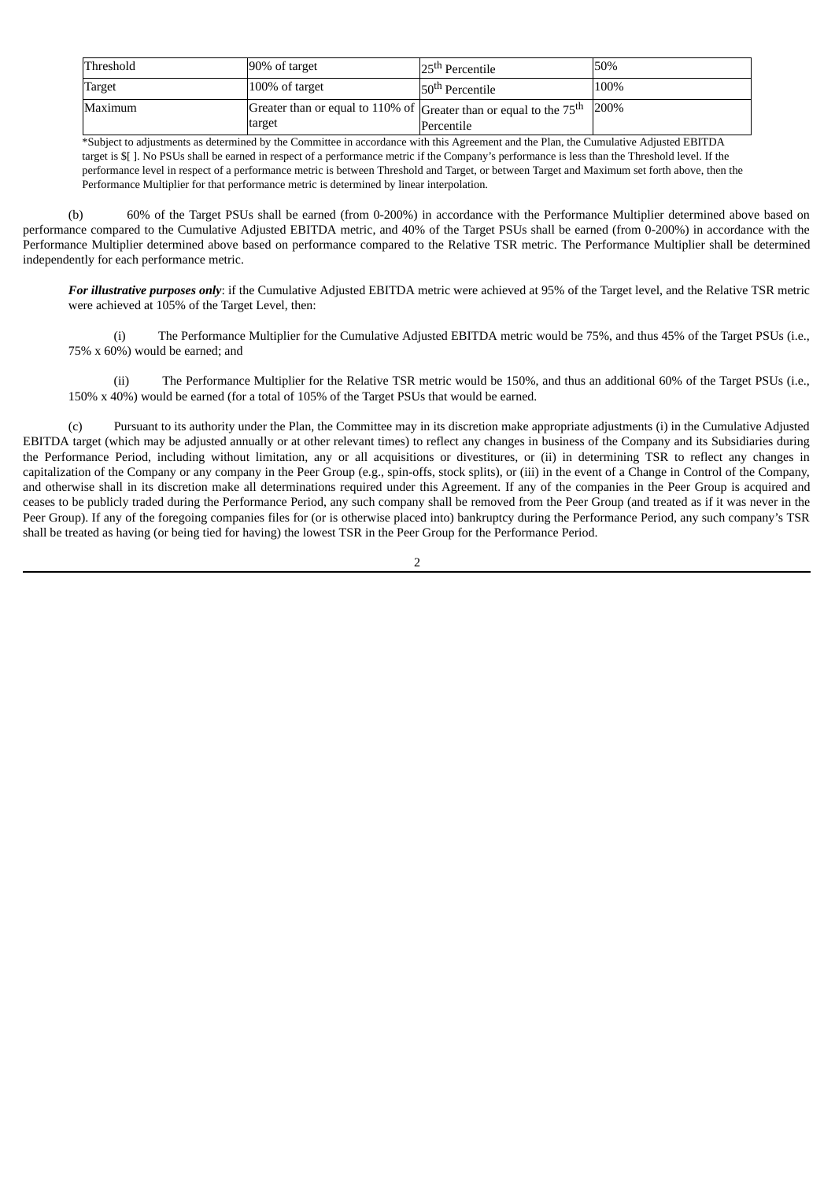| Threshold | 90% of target                                                                  | 25 <sup>th</sup> Percentile | 50%  |
|-----------|--------------------------------------------------------------------------------|-----------------------------|------|
| Target    | 100% of target                                                                 | 50 <sup>th</sup> Percentile | 100% |
| Maximum   | Greater than or equal to 110% of Greater than or equal to the $75th$<br>target | Percentile                  | 200% |

\*Subject to adjustments as determined by the Committee in accordance with this Agreement and the Plan, the Cumulative Adjusted EBITDA target is \$[ ]. No PSUs shall be earned in respect of a performance metric if the Company's performance is less than the Threshold level. If the performance level in respect of a performance metric is between Threshold and Target, or between Target and Maximum set forth above, then the Performance Multiplier for that performance metric is determined by linear interpolation.

(b) 60% of the Target PSUs shall be earned (from 0-200%) in accordance with the Performance Multiplier determined above based on performance compared to the Cumulative Adjusted EBITDA metric, and 40% of the Target PSUs shall be earned (from 0-200%) in accordance with the Performance Multiplier determined above based on performance compared to the Relative TSR metric. The Performance Multiplier shall be determined independently for each performance metric.

*For illustrative purposes only*: if the Cumulative Adjusted EBITDA metric were achieved at 95% of the Target level, and the Relative TSR metric were achieved at 105% of the Target Level, then:

(i) The Performance Multiplier for the Cumulative Adjusted EBITDA metric would be 75%, and thus 45% of the Target PSUs (i.e., 75% x 60%) would be earned; and

(ii) The Performance Multiplier for the Relative TSR metric would be 150%, and thus an additional 60% of the Target PSUs (i.e., 150% x 40%) would be earned (for a total of 105% of the Target PSUs that would be earned.

(c) Pursuant to its authority under the Plan, the Committee may in its discretion make appropriate adjustments (i) in the Cumulative Adjusted EBITDA target (which may be adjusted annually or at other relevant times) to reflect any changes in business of the Company and its Subsidiaries during the Performance Period, including without limitation, any or all acquisitions or divestitures, or (ii) in determining TSR to reflect any changes in capitalization of the Company or any company in the Peer Group (e.g., spin-offs, stock splits), or (iii) in the event of a Change in Control of the Company, and otherwise shall in its discretion make all determinations required under this Agreement. If any of the companies in the Peer Group is acquired and ceases to be publicly traded during the Performance Period, any such company shall be removed from the Peer Group (and treated as if it was never in the Peer Group). If any of the foregoing companies files for (or is otherwise placed into) bankruptcy during the Performance Period, any such company's TSR shall be treated as having (or being tied for having) the lowest TSR in the Peer Group for the Performance Period.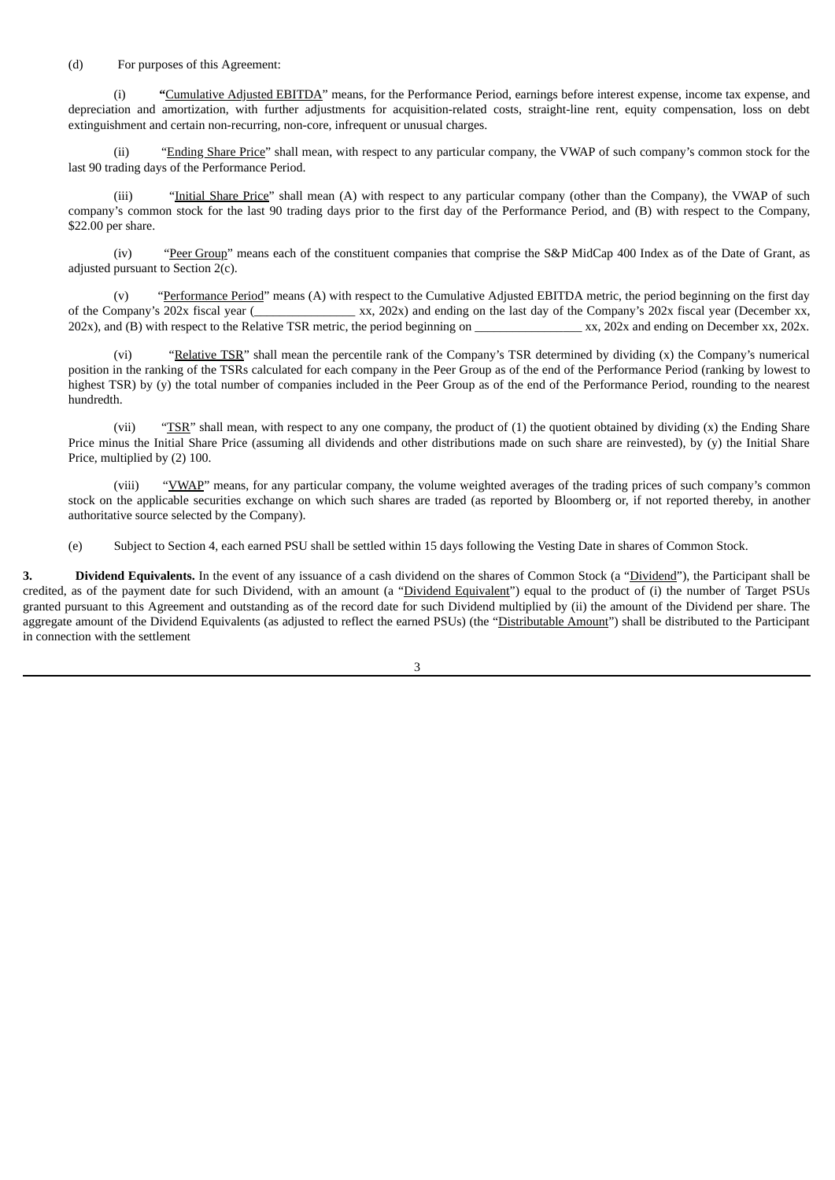#### (d) For purposes of this Agreement:

(i) **"**Cumulative Adjusted EBITDA" means, for the Performance Period, earnings before interest expense, income tax expense, and depreciation and amortization, with further adjustments for acquisition-related costs, straight-line rent, equity compensation, loss on debt extinguishment and certain non-recurring, non-core, infrequent or unusual charges.

(ii) "Ending Share Price" shall mean, with respect to any particular company, the VWAP of such company's common stock for the last 90 trading days of the Performance Period.

(iii) "Initial Share Price" shall mean (A) with respect to any particular company (other than the Company), the VWAP of such company's common stock for the last 90 trading days prior to the first day of the Performance Period, and (B) with respect to the Company, \$22.00 per share.

(iv) "Peer Group" means each of the constituent companies that comprise the S&P MidCap 400 Index as of the Date of Grant, as adjusted pursuant to Section 2(c).

(v) "Performance Period" means (A) with respect to the Cumulative Adjusted EBITDA metric, the period beginning on the first day of the Company's 202x fiscal year (\_\_\_\_\_\_\_\_\_\_\_\_\_\_\_\_ xx, 202x) and ending on the last day of the Company's 202x fiscal year (December xx, 202x), and (B) with respect to the Relative TSR metric, the period beginning on \_\_\_\_\_\_\_\_\_\_\_\_\_\_\_\_\_\_\_ xx, 202x and ending on December xx, 202x.

(vi) "Relative TSR" shall mean the percentile rank of the Company's TSR determined by dividing (x) the Company's numerical position in the ranking of the TSRs calculated for each company in the Peer Group as of the end of the Performance Period (ranking by lowest to highest TSR) by (y) the total number of companies included in the Peer Group as of the end of the Performance Period, rounding to the nearest hundredth.

(vii) "TSR" shall mean, with respect to any one company, the product of (1) the quotient obtained by dividing (x) the Ending Share Price minus the Initial Share Price (assuming all dividends and other distributions made on such share are reinvested), by (y) the Initial Share Price, multiplied by (2) 100.

(viii) "VWAP" means, for any particular company, the volume weighted averages of the trading prices of such company's common stock on the applicable securities exchange on which such shares are traded (as reported by Bloomberg or, if not reported thereby, in another authoritative source selected by the Company).

(e) Subject to Section 4, each earned PSU shall be settled within 15 days following the Vesting Date in shares of Common Stock.

**3. Dividend Equivalents.** In the event of any issuance of a cash dividend on the shares of Common Stock (a "Dividend"), the Participant shall be credited, as of the payment date for such Dividend, with an amount (a "Dividend Equivalent") equal to the product of (i) the number of Target PSUs granted pursuant to this Agreement and outstanding as of the record date for such Dividend multiplied by (ii) the amount of the Dividend per share. The aggregate amount of the Dividend Equivalents (as adjusted to reflect the earned PSUs) (the "Distributable Amount") shall be distributed to the Participant in connection with the settlement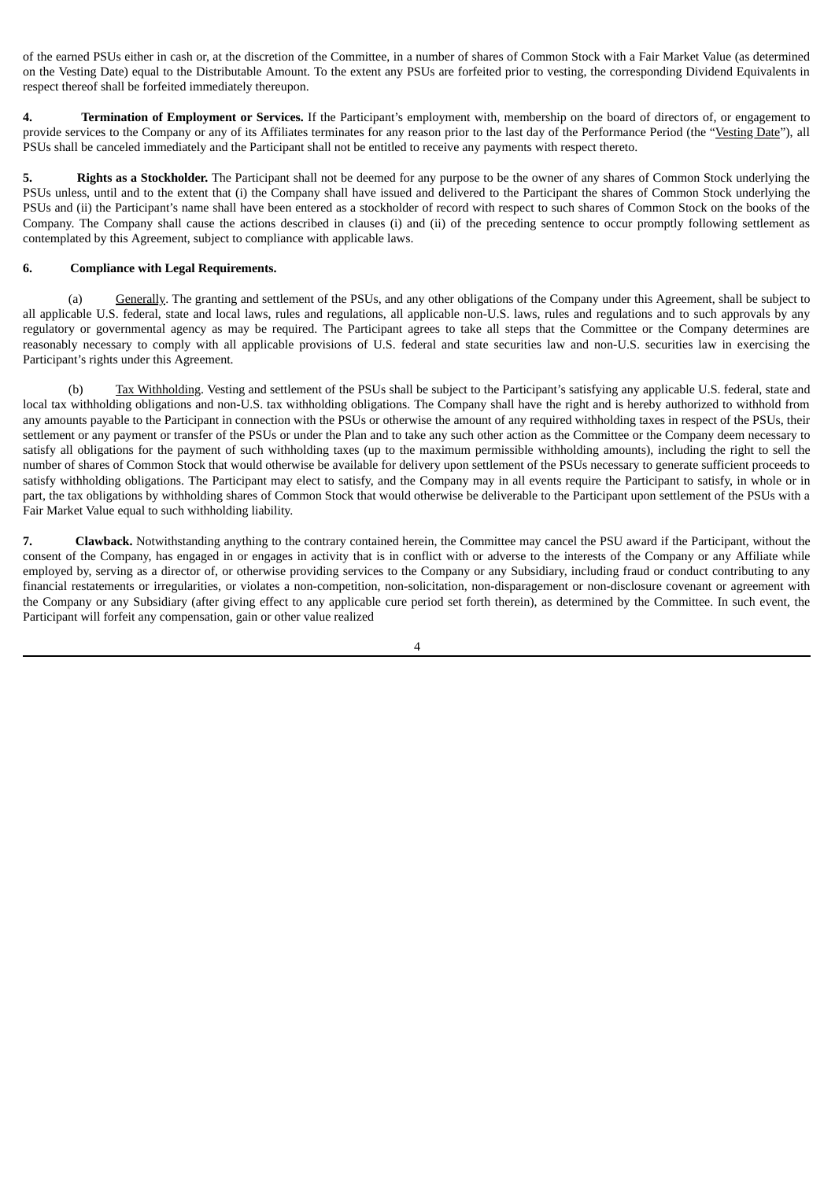of the earned PSUs either in cash or, at the discretion of the Committee, in a number of shares of Common Stock with a Fair Market Value (as determined on the Vesting Date) equal to the Distributable Amount. To the extent any PSUs are forfeited prior to vesting, the corresponding Dividend Equivalents in respect thereof shall be forfeited immediately thereupon.

**4. Termination of Employment or Services.** If the Participant's employment with, membership on the board of directors of, or engagement to provide services to the Company or any of its Affiliates terminates for any reason prior to the last day of the Performance Period (the "Vesting Date"), all PSUs shall be canceled immediately and the Participant shall not be entitled to receive any payments with respect thereto.

**5. Rights as a Stockholder.** The Participant shall not be deemed for any purpose to be the owner of any shares of Common Stock underlying the PSUs unless, until and to the extent that (i) the Company shall have issued and delivered to the Participant the shares of Common Stock underlying the PSUs and (ii) the Participant's name shall have been entered as a stockholder of record with respect to such shares of Common Stock on the books of the Company. The Company shall cause the actions described in clauses (i) and (ii) of the preceding sentence to occur promptly following settlement as contemplated by this Agreement, subject to compliance with applicable laws.

# **6. Compliance with Legal Requirements.**

(a) Generally. The granting and settlement of the PSUs, and any other obligations of the Company under this Agreement, shall be subject to all applicable U.S. federal, state and local laws, rules and regulations, all applicable non-U.S. laws, rules and regulations and to such approvals by any regulatory or governmental agency as may be required. The Participant agrees to take all steps that the Committee or the Company determines are reasonably necessary to comply with all applicable provisions of U.S. federal and state securities law and non-U.S. securities law in exercising the Participant's rights under this Agreement.

(b) Tax Withholding. Vesting and settlement of the PSUs shall be subject to the Participant's satisfying any applicable U.S. federal, state and local tax withholding obligations and non-U.S. tax withholding obligations. The Company shall have the right and is hereby authorized to withhold from any amounts payable to the Participant in connection with the PSUs or otherwise the amount of any required withholding taxes in respect of the PSUs, their settlement or any payment or transfer of the PSUs or under the Plan and to take any such other action as the Committee or the Company deem necessary to satisfy all obligations for the payment of such withholding taxes (up to the maximum permissible withholding amounts), including the right to sell the number of shares of Common Stock that would otherwise be available for delivery upon settlement of the PSUs necessary to generate sufficient proceeds to satisfy withholding obligations. The Participant may elect to satisfy, and the Company may in all events require the Participant to satisfy, in whole or in part, the tax obligations by withholding shares of Common Stock that would otherwise be deliverable to the Participant upon settlement of the PSUs with a Fair Market Value equal to such withholding liability.

**7. Clawback.** Notwithstanding anything to the contrary contained herein, the Committee may cancel the PSU award if the Participant, without the consent of the Company, has engaged in or engages in activity that is in conflict with or adverse to the interests of the Company or any Affiliate while employed by, serving as a director of, or otherwise providing services to the Company or any Subsidiary, including fraud or conduct contributing to any financial restatements or irregularities, or violates a non-competition, non-solicitation, non-disparagement or non-disclosure covenant or agreement with the Company or any Subsidiary (after giving effect to any applicable cure period set forth therein), as determined by the Committee. In such event, the Participant will forfeit any compensation, gain or other value realized

<sup>4</sup>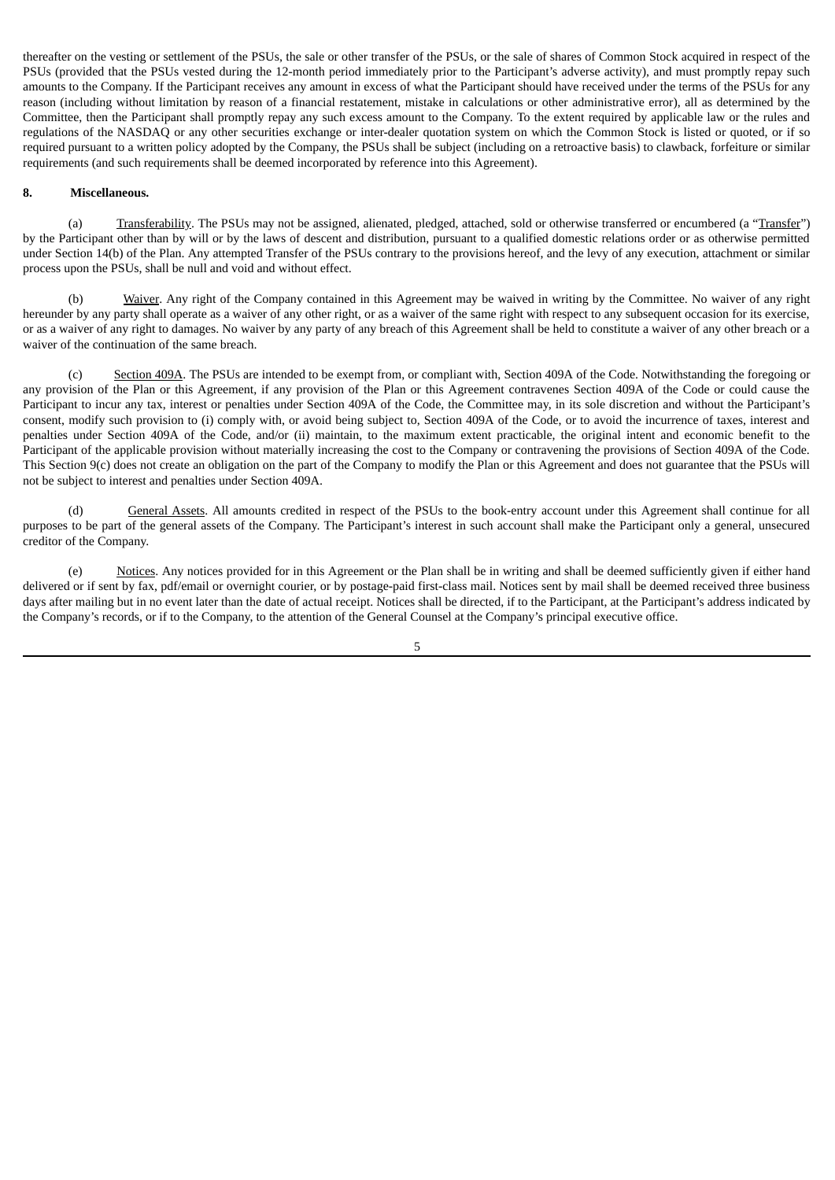thereafter on the vesting or settlement of the PSUs, the sale or other transfer of the PSUs, or the sale of shares of Common Stock acquired in respect of the PSUs (provided that the PSUs vested during the 12-month period immediately prior to the Participant's adverse activity), and must promptly repay such amounts to the Company. If the Participant receives any amount in excess of what the Participant should have received under the terms of the PSUs for any reason (including without limitation by reason of a financial restatement, mistake in calculations or other administrative error), all as determined by the Committee, then the Participant shall promptly repay any such excess amount to the Company. To the extent required by applicable law or the rules and regulations of the NASDAQ or any other securities exchange or inter-dealer quotation system on which the Common Stock is listed or quoted, or if so required pursuant to a written policy adopted by the Company, the PSUs shall be subject (including on a retroactive basis) to clawback, forfeiture or similar requirements (and such requirements shall be deemed incorporated by reference into this Agreement).

#### **8. Miscellaneous.**

(a) Transferability. The PSUs may not be assigned, alienated, pledged, attached, sold or otherwise transferred or encumbered (a "Transfer") by the Participant other than by will or by the laws of descent and distribution, pursuant to a qualified domestic relations order or as otherwise permitted under Section 14(b) of the Plan. Any attempted Transfer of the PSUs contrary to the provisions hereof, and the levy of any execution, attachment or similar process upon the PSUs, shall be null and void and without effect.

(b) Waiver. Any right of the Company contained in this Agreement may be waived in writing by the Committee. No waiver of any right hereunder by any party shall operate as a waiver of any other right, or as a waiver of the same right with respect to any subsequent occasion for its exercise, or as a waiver of any right to damages. No waiver by any party of any breach of this Agreement shall be held to constitute a waiver of any other breach or a waiver of the continuation of the same breach.

(c) Section 409A. The PSUs are intended to be exempt from, or compliant with, Section 409A of the Code. Notwithstanding the foregoing or any provision of the Plan or this Agreement, if any provision of the Plan or this Agreement contravenes Section 409A of the Code or could cause the Participant to incur any tax, interest or penalties under Section 409A of the Code, the Committee may, in its sole discretion and without the Participant's consent, modify such provision to (i) comply with, or avoid being subject to, Section 409A of the Code, or to avoid the incurrence of taxes, interest and penalties under Section 409A of the Code, and/or (ii) maintain, to the maximum extent practicable, the original intent and economic benefit to the Participant of the applicable provision without materially increasing the cost to the Company or contravening the provisions of Section 409A of the Code. This Section 9(c) does not create an obligation on the part of the Company to modify the Plan or this Agreement and does not guarantee that the PSUs will not be subject to interest and penalties under Section 409A.

(d) General Assets. All amounts credited in respect of the PSUs to the book-entry account under this Agreement shall continue for all purposes to be part of the general assets of the Company. The Participant's interest in such account shall make the Participant only a general, unsecured creditor of the Company.

(e) Notices. Any notices provided for in this Agreement or the Plan shall be in writing and shall be deemed sufficiently given if either hand delivered or if sent by fax, pdf/email or overnight courier, or by postage-paid first-class mail. Notices sent by mail shall be deemed received three business days after mailing but in no event later than the date of actual receipt. Notices shall be directed, if to the Participant, at the Participant's address indicated by the Company's records, or if to the Company, to the attention of the General Counsel at the Company's principal executive office.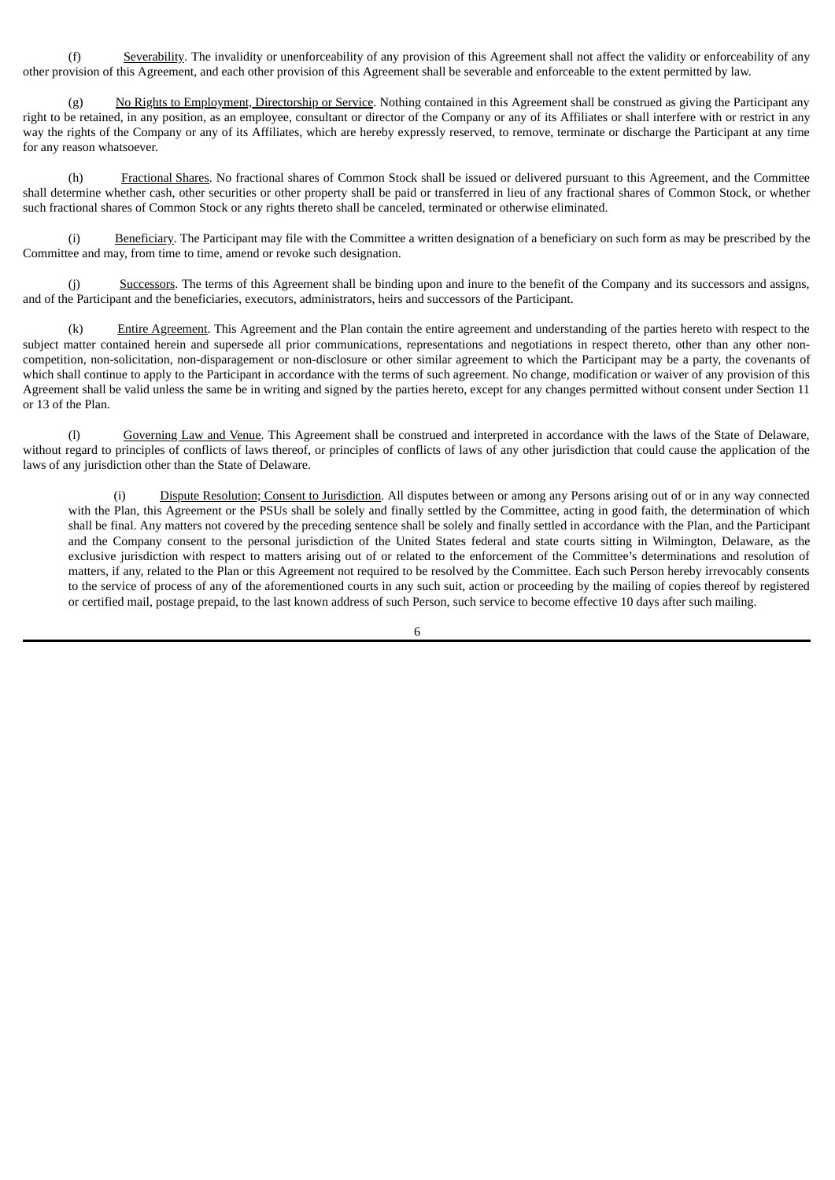(f) Severability. The invalidity or unenforceability of any provision of this Agreement shall not affect the validity or enforceability of any other provision of this Agreement, and each other provision of this Agreement shall be severable and enforceable to the extent permitted by law.

(g) No Rights to Employment, Directorship or Service. Nothing contained in this Agreement shall be construed as giving the Participant any right to be retained, in any position, as an employee, consultant or director of the Company or any of its Affiliates or shall interfere with or restrict in any way the rights of the Company or any of its Affiliates, which are hereby expressly reserved, to remove, terminate or discharge the Participant at any time for any reason whatsoever.

(h) Fractional Shares. No fractional shares of Common Stock shall be issued or delivered pursuant to this Agreement, and the Committee shall determine whether cash, other securities or other property shall be paid or transferred in lieu of any fractional shares of Common Stock, or whether such fractional shares of Common Stock or any rights thereto shall be canceled, terminated or otherwise eliminated.

(i) Beneficiary. The Participant may file with the Committee a written designation of a beneficiary on such form as may be prescribed by the Committee and may, from time to time, amend or revoke such designation.

(j) Successors. The terms of this Agreement shall be binding upon and inure to the benefit of the Company and its successors and assigns, and of the Participant and the beneficiaries, executors, administrators, heirs and successors of the Participant.

(k) Entire Agreement. This Agreement and the Plan contain the entire agreement and understanding of the parties hereto with respect to the subject matter contained herein and supersede all prior communications, representations and negotiations in respect thereto, other than any other noncompetition, non-solicitation, non-disparagement or non-disclosure or other similar agreement to which the Participant may be a party, the covenants of which shall continue to apply to the Participant in accordance with the terms of such agreement. No change, modification or waiver of any provision of this Agreement shall be valid unless the same be in writing and signed by the parties hereto, except for any changes permitted without consent under Section 11 or 13 of the Plan.

(l) Governing Law and Venue. This Agreement shall be construed and interpreted in accordance with the laws of the State of Delaware, without regard to principles of conflicts of laws thereof, or principles of conflicts of laws of any other jurisdiction that could cause the application of the laws of any jurisdiction other than the State of Delaware.

Dispute Resolution; Consent to Jurisdiction. All disputes between or among any Persons arising out of or in any way connected with the Plan, this Agreement or the PSUs shall be solely and finally settled by the Committee, acting in good faith, the determination of which shall be final. Any matters not covered by the preceding sentence shall be solely and finally settled in accordance with the Plan, and the Participant and the Company consent to the personal jurisdiction of the United States federal and state courts sitting in Wilmington, Delaware, as the exclusive jurisdiction with respect to matters arising out of or related to the enforcement of the Committee's determinations and resolution of matters, if any, related to the Plan or this Agreement not required to be resolved by the Committee. Each such Person hereby irrevocably consents to the service of process of any of the aforementioned courts in any such suit, action or proceeding by the mailing of copies thereof by registered or certified mail, postage prepaid, to the last known address of such Person, such service to become effective 10 days after such mailing.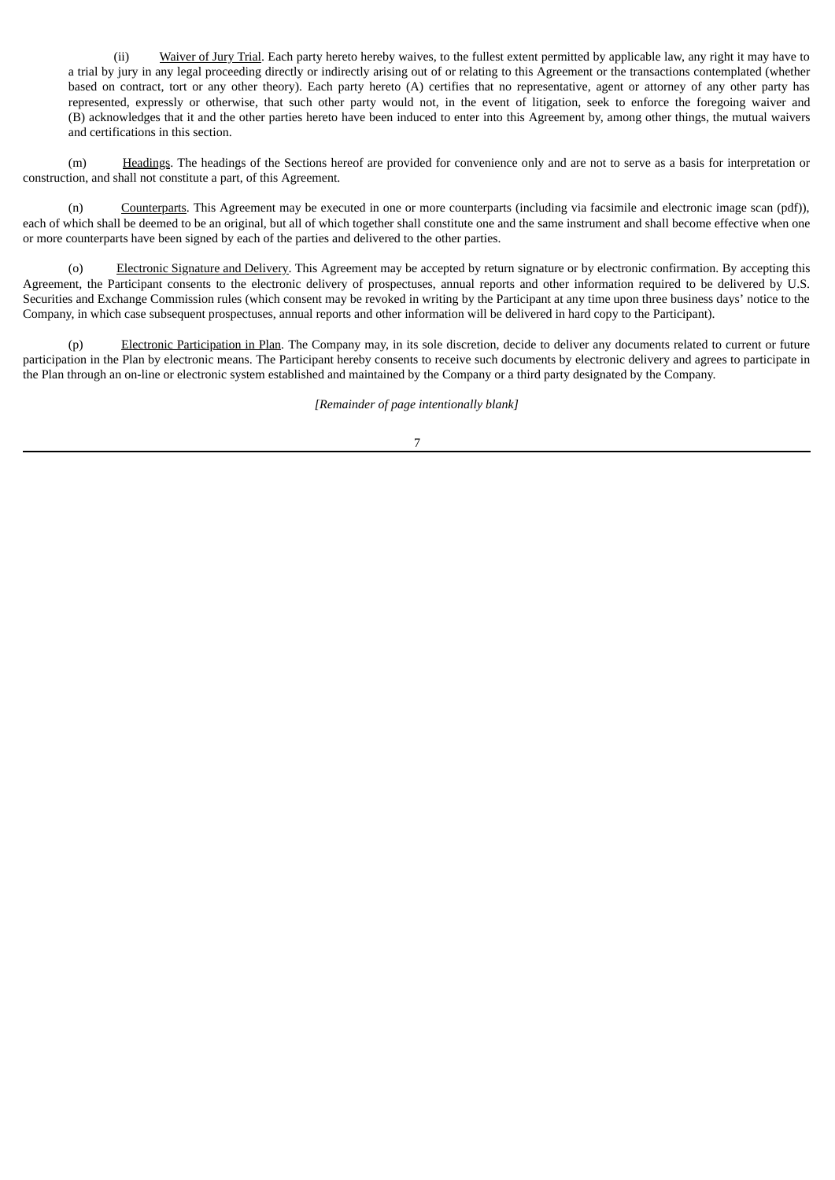(ii) Waiver of Jury Trial. Each party hereto hereby waives, to the fullest extent permitted by applicable law, any right it may have to a trial by jury in any legal proceeding directly or indirectly arising out of or relating to this Agreement or the transactions contemplated (whether based on contract, tort or any other theory). Each party hereto (A) certifies that no representative, agent or attorney of any other party has represented, expressly or otherwise, that such other party would not, in the event of litigation, seek to enforce the foregoing waiver and (B) acknowledges that it and the other parties hereto have been induced to enter into this Agreement by, among other things, the mutual waivers and certifications in this section.

(m) Headings. The headings of the Sections hereof are provided for convenience only and are not to serve as a basis for interpretation or construction, and shall not constitute a part, of this Agreement.

(n) Counterparts. This Agreement may be executed in one or more counterparts (including via facsimile and electronic image scan (pdf)), each of which shall be deemed to be an original, but all of which together shall constitute one and the same instrument and shall become effective when one or more counterparts have been signed by each of the parties and delivered to the other parties.

(o) Electronic Signature and Delivery. This Agreement may be accepted by return signature or by electronic confirmation. By accepting this Agreement, the Participant consents to the electronic delivery of prospectuses, annual reports and other information required to be delivered by U.S. Securities and Exchange Commission rules (which consent may be revoked in writing by the Participant at any time upon three business days' notice to the Company, in which case subsequent prospectuses, annual reports and other information will be delivered in hard copy to the Participant).

(p) Electronic Participation in Plan. The Company may, in its sole discretion, decide to deliver any documents related to current or future participation in the Plan by electronic means. The Participant hereby consents to receive such documents by electronic delivery and agrees to participate in the Plan through an on-line or electronic system established and maintained by the Company or a third party designated by the Company.

*[Remainder of page intentionally blank]*